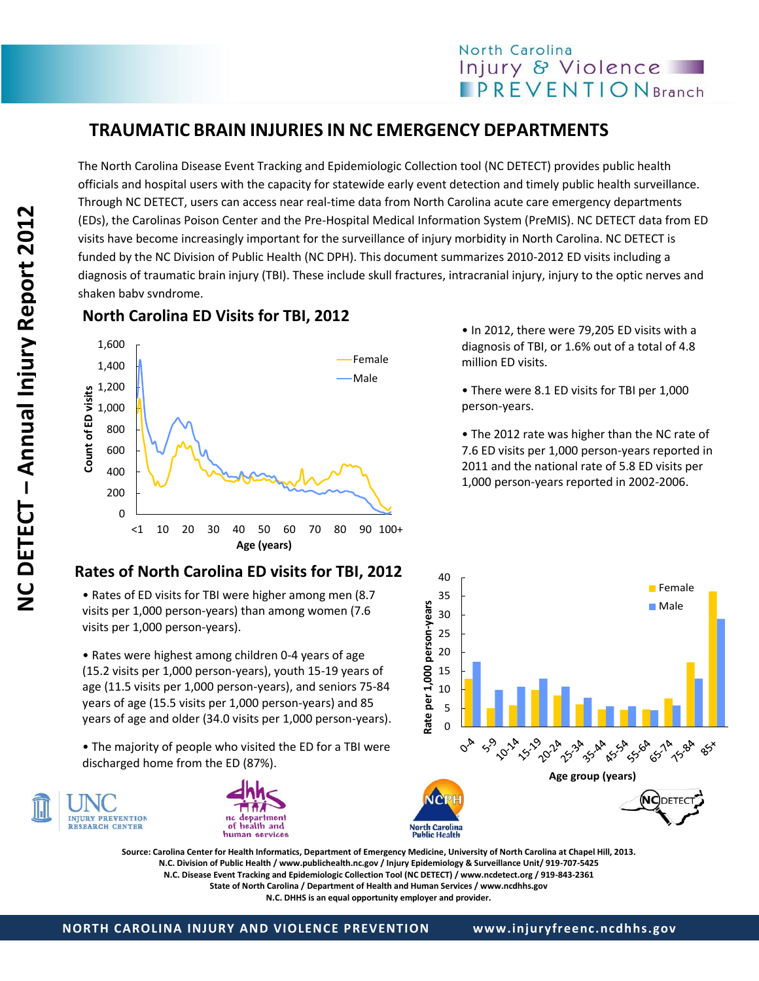# North Carolina Injury & Violence **PREVENTIONBranch**

# **TRAUMATIC BRAIN INJURIES IN NC EMERGENCY DEPARTMENTS**

The North Carolina Disease Event Tracking and Epidemiologic Collection tool (NC DETECT) provides public health officials and hospital users with the capacity for statewide early event detection and timely public health surveillance. Through NC DETECT, users can access near real-time data from North Carolina acute care emergency departments (EDs), the Carolinas Poison Center and the Pre-Hospital Medical Information System (PreMIS). NC DETECT data from ED visits have become increasingly important for the surveillance of injury morbidity in North Carolina. NC DETECT is funded by the NC Division of Public Health (NC DPH). This document summarizes 2010-2012 ED visits including a diagnosis of traumatic brain injury (TBI). These include skull fractures, intracranial injury, injury to the optic nerves and shaken baby syndrome.

### **North Carolina ED Visits for TBI, 2012**



#### • In 2012, there were 79,205 ED visits with a diagnosis of TBI, or 1.6% out of a total of 4.8 million ED visits.

• There were 8.1 ED visits for TBI per 1,000 person-years.

• The 2012 rate was higher than the NC rate of 7.6 ED visits per 1,000 person-years reported in 2011 and the national rate of 5.8 ED visits per 1,000 person-years reported in 2002-2006.



2008; and **Source: Carolina Center for Health Informatics, Department of Emergency Medicine, University of North Carolina at Chapel Hill, 2013.** the national **N.C. Division of Public Health / www.publichealth.nc.gov / Injury Epidemiology & Surveillance Unit/ 919-707-5425** N.C. Disease Event Tracking and Epidemiologic Collection Tool (NC DETECT) / www.ncdetect.org / 919-843-2361<br>State of North Carolina / Denartment of Health and Human Services / www.ncdbhs.gov **State of North Carolina / Department of Health and Human Services / www.ncdhhs.gov**

## **Rates of North Carolina ED visits for TBI, 2012**

• Rates of ED visits for TBI were higher among men (8.7 visits per 1,000 person-years) than among women (7.6 visits per 1,000 person-years).

• Rates were highest among children 0-4 years of age (15.2 visits per 1,000 person-years), youth 15-19 years of age (11.5 visits per 1,000 person-years), and seniors 75-84 years of age (15.5 visits per 1,000 person-years) and 85 years of age and older (34.0 visits per 1,000 person-years).

• The majority of people who visited the ED for a TBI were discharged home from the ED (87%).